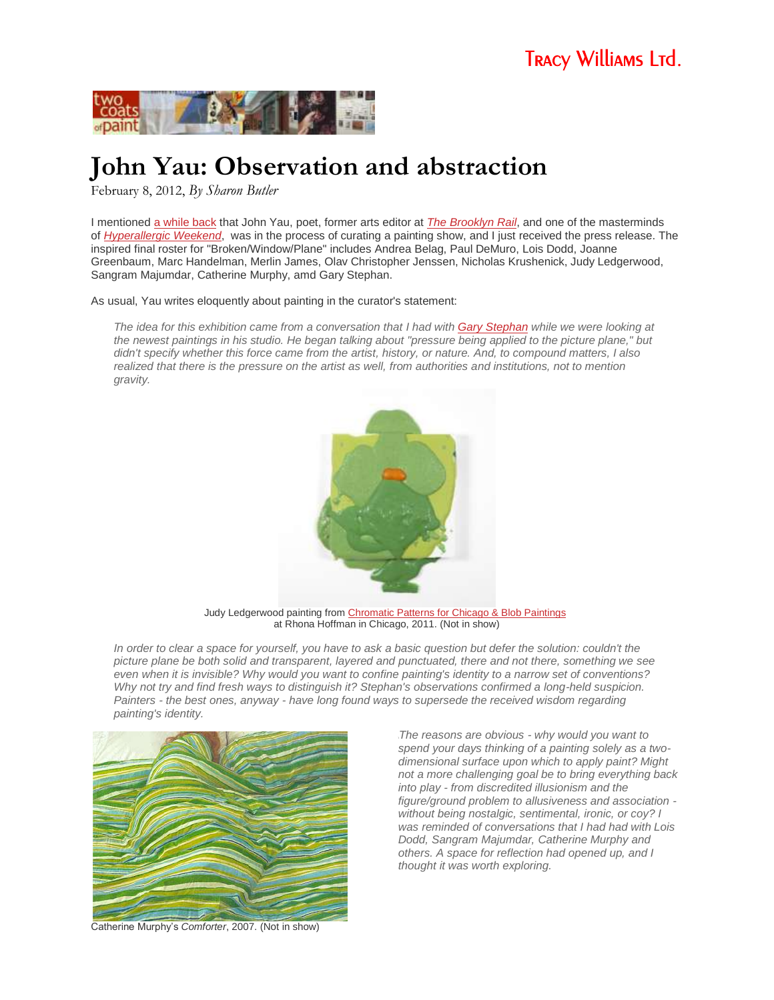

## **John Yau: Observation and abstraction**

February 8, 2012, *By Sharon Butler*

I mentioned [a while back](http://www.twocoatsofpaint.com/2011/12/sunday-matinee-gary-stephan.html) that John Yau, poet, former arts editor at *[The Brooklyn Rail](http://brooklynrail.org/)*, and one of the masterminds of *[Hyperallergic Weekend](http://hyperallergic.com/weekend/)*, was in the process of curating a painting show, and I just received the press release. The inspired final roster for "Broken/Window/Plane" includes Andrea Belag, Paul DeMuro, Lois Dodd, Joanne Greenbaum, Marc Handelman, Merlin James, Olav Christopher Jenssen, Nicholas Krushenick, Judy Ledgerwood, Sangram Majumdar, Catherine Murphy, amd Gary Stephan.

As usual, Yau writes eloquently about painting in the curator's statement:

*The idea for this exhibition came from a conversation that I had with [Gary Stephan](http://www.twocoatsofpaint.com/2011/12/sunday-matinee-gary-stephan.html) while we were looking at the newest paintings in his studio. He began talking about "pressure being applied to the picture plane," but didn't specify whether this force came from the artist, history, or nature. And, to compound matters, I also realized that there is the pressure on the artist as well, from authorities and institutions, not to mention gravity.*



Judy Ledgerwood painting from [Chromatic Patterns for Chicago & Blob Paintings](http://siebrenv.easycgi.com/rhoffmangallery.com/exhibition.asp?exid=445) at Rhona Hoffman in Chicago, 2011. (Not in show)

*In order to clear a space for yourself, you have to ask a basic question but defer the solution: couldn't the picture plane be both solid and transparent, layered and punctuated, there and not there, something we see even when it is invisible? Why would you want to confine painting's identity to a narrow set of conventions? Why not try and find fresh ways to distinguish it? Stephan's observations confirmed a long-held suspicion. Painters - the best ones, anyway - have long found ways to supersede the received wisdom regarding painting's identity.*



Catherine Murphy's *Comforter*, 2007. (Not in show)

\*The reasons are obvious - why would you want to spend your days thinking of a painting solely as a twodimensional surface upon which to apply paint? Might not a more challenging goal be to bring everything back into play - from discredited illusionism and the figure/ground problem to allusiveness and association without being nostalgic, sentimental, ironic, or coy? I was reminded of conversations that I had had with Lois Dodd, Sangram Majumdar, Catherine Murphy and others. A space for reflection had opened up, and I thought it was worth exploring.*